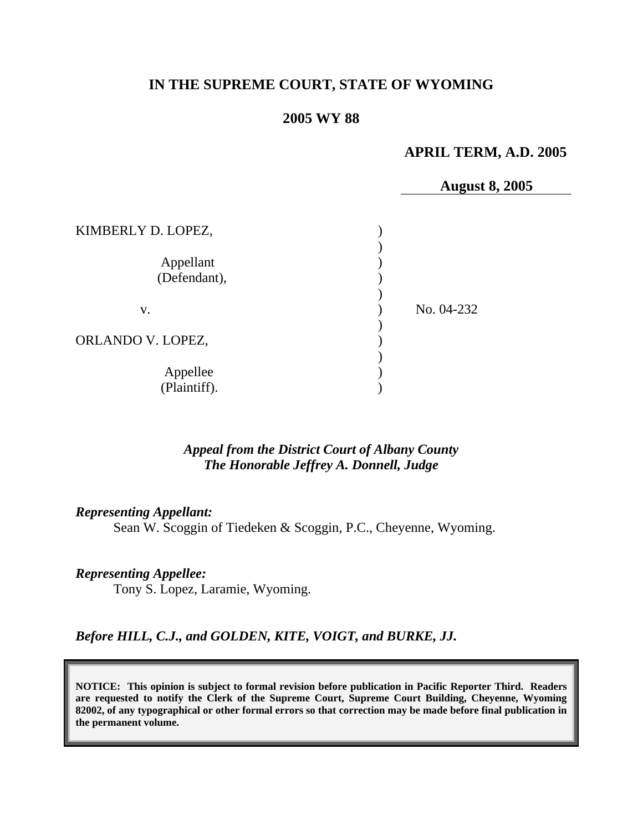# **IN THE SUPREME COURT, STATE OF WYOMING**

### **2005 WY 88**

## **APRIL TERM, A.D. 2005**

**August 8, 2005** 

| KIMBERLY D. LOPEZ,        |            |
|---------------------------|------------|
| Appellant<br>(Defendant), |            |
| V.                        | No. 04-232 |
| ORLANDO V. LOPEZ,         |            |
| Appellee<br>(Plaintiff).  |            |

### *Appeal from the District Court of Albany County The Honorable Jeffrey A. Donnell, Judge*

### *Representing Appellant:*

Sean W. Scoggin of Tiedeken & Scoggin, P.C., Cheyenne, Wyoming.

## *Representing Appellee:*

Tony S. Lopez, Laramie, Wyoming.

### *Before HILL, C.J., and GOLDEN, KITE, VOIGT, and BURKE, JJ.*

**NOTICE: This opinion is subject to formal revision before publication in Pacific Reporter Third. Readers are requested to notify the Clerk of the Supreme Court, Supreme Court Building, Cheyenne, Wyoming 82002, of any typographical or other formal errors so that correction may be made before final publication in the permanent volume.**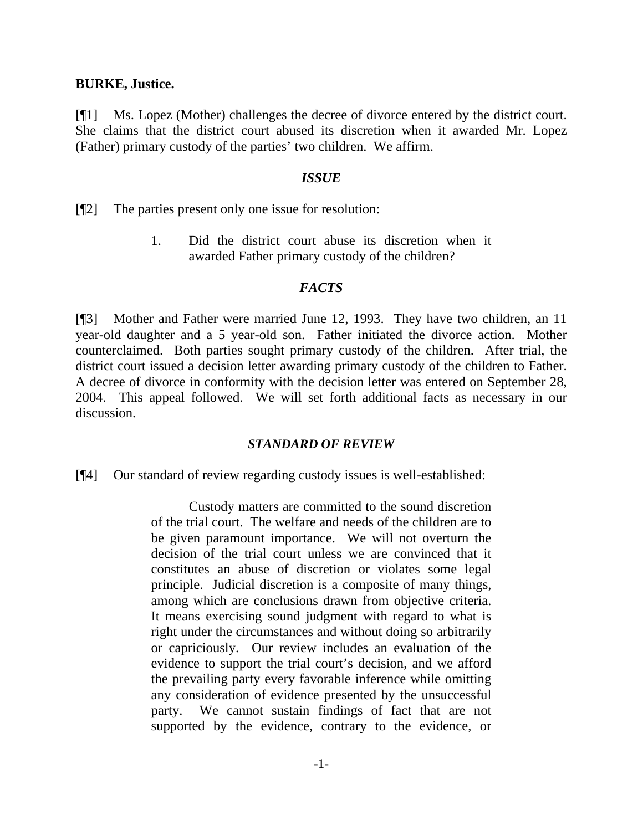#### **BURKE, Justice.**

[¶1] Ms. Lopez (Mother) challenges the decree of divorce entered by the district court. She claims that the district court abused its discretion when it awarded Mr. Lopez (Father) primary custody of the parties' two children. We affirm.

#### *ISSUE*

[¶2] The parties present only one issue for resolution:

1. Did the district court abuse its discretion when it awarded Father primary custody of the children?

### *FACTS*

[¶3] Mother and Father were married June 12, 1993. They have two children, an 11 year-old daughter and a 5 year-old son. Father initiated the divorce action. Mother counterclaimed. Both parties sought primary custody of the children. After trial, the district court issued a decision letter awarding primary custody of the children to Father. A decree of divorce in conformity with the decision letter was entered on September 28, 2004. This appeal followed. We will set forth additional facts as necessary in our discussion.

### *STANDARD OF REVIEW*

[¶4] Our standard of review regarding custody issues is well-established:

Custody matters are committed to the sound discretion of the trial court. The welfare and needs of the children are to be given paramount importance. We will not overturn the decision of the trial court unless we are convinced that it constitutes an abuse of discretion or violates some legal principle. Judicial discretion is a composite of many things, among which are conclusions drawn from objective criteria. It means exercising sound judgment with regard to what is right under the circumstances and without doing so arbitrarily or capriciously. Our review includes an evaluation of the evidence to support the trial court's decision, and we afford the prevailing party every favorable inference while omitting any consideration of evidence presented by the unsuccessful party. We cannot sustain findings of fact that are not supported by the evidence, contrary to the evidence, or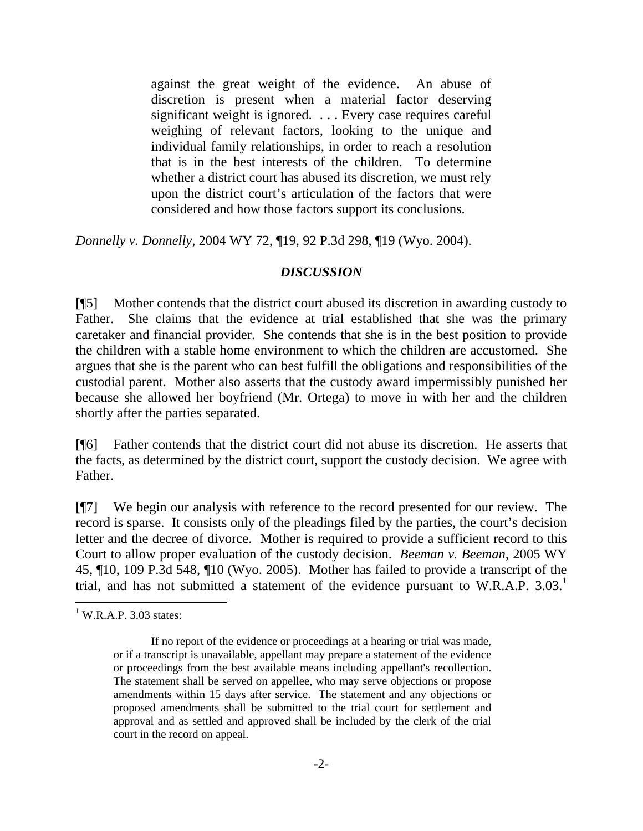against the great weight of the evidence. An abuse of discretion is present when a material factor deserving significant weight is ignored. . . . Every case requires careful weighing of relevant factors, looking to the unique and individual family relationships, in order to reach a resolution that is in the best interests of the children. To determine whether a district court has abused its discretion, we must rely upon the district court's articulation of the factors that were considered and how those factors support its conclusions.

*Donnelly v. Donnelly*, 2004 WY 72, ¶19, 92 P.3d 298, ¶19 (Wyo. 2004).

# *DISCUSSION*

[¶5] Mother contends that the district court abused its discretion in awarding custody to Father. She claims that the evidence at trial established that she was the primary caretaker and financial provider. She contends that she is in the best position to provide the children with a stable home environment to which the children are accustomed. She argues that she is the parent who can best fulfill the obligations and responsibilities of the custodial parent. Mother also asserts that the custody award impermissibly punished her because she allowed her boyfriend (Mr. Ortega) to move in with her and the children shortly after the parties separated.

[¶6] Father contends that the district court did not abuse its discretion. He asserts that the facts, as determined by the district court, support the custody decision. We agree with Father.

[¶7] We begin our analysis with reference to the record presented for our review. The record is sparse. It consists only of the pleadings filed by the parties, the court's decision letter and the decree of divorce. Mother is required to provide a sufficient record to this Court to allow proper evaluation of the custody decision. *Beeman v. Beeman*, 2005 WY 45, ¶10, 109 P.3d 548, ¶10 (Wyo. 2005). Mother has failed to provide a transcript of the trial, and has not submitted a statement of the evidence pursuant to W.R.A.P. 3.03.<sup>1</sup>

 $\overline{a}$  $1$  W.R.A.P. 3.03 states:

If no report of the evidence or proceedings at a hearing or trial was made, or if a transcript is unavailable, appellant may prepare a statement of the evidence or proceedings from the best available means including appellant's recollection. The statement shall be served on appellee, who may serve objections or propose amendments within 15 days after service. The statement and any objections or proposed amendments shall be submitted to the trial court for settlement and approval and as settled and approved shall be included by the clerk of the trial court in the record on appeal.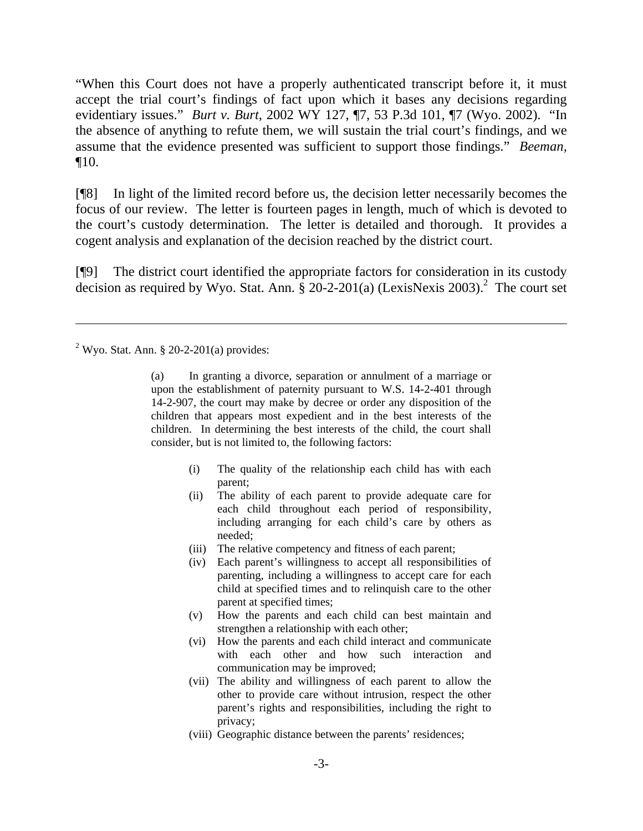"When this Court does not have a properly authenticated transcript before it, it must accept the trial court's findings of fact upon which it bases any decisions regarding evidentiary issues." *Burt v. Burt*, 2002 WY 127, ¶7, 53 P.3d 101, ¶7 (Wyo. 2002). "In the absence of anything to refute them, we will sustain the trial court's findings, and we assume that the evidence presented was sufficient to support those findings." *Beeman,* ¶10.

[¶8] In light of the limited record before us, the decision letter necessarily becomes the focus of our review. The letter is fourteen pages in length, much of which is devoted to the court's custody determination. The letter is detailed and thorough. It provides a cogent analysis and explanation of the decision reached by the district court.

[¶9] The district court identified the appropriate factors for consideration in its custody decision as required by Wyo. Stat. Ann.  $\hat{\S}$  20-2-201(a) (LexisNexis 2003).<sup>2</sup> The court set

 $\overline{a}$ 

(a) In granting a divorce, separation or annulment of a marriage or upon the establishment of paternity pursuant to W.S. 14-2-401 through 14-2-907, the court may make by decree or order any disposition of the children that appears most expedient and in the best interests of the children. In determining the best interests of the child, the court shall consider, but is not limited to, the following factors:

- (i) The quality of the relationship each child has with each parent;
- (ii) The ability of each parent to provide adequate care for each child throughout each period of responsibility, including arranging for each child's care by others as needed;
- (iii) The relative competency and fitness of each parent;
- (iv) Each parent's willingness to accept all responsibilities of parenting, including a willingness to accept care for each child at specified times and to relinquish care to the other parent at specified times;
- (v) How the parents and each child can best maintain and strengthen a relationship with each other;
- (vi) How the parents and each child interact and communicate with each other and how such interaction and communication may be improved;
- (vii) The ability and willingness of each parent to allow the other to provide care without intrusion, respect the other parent's rights and responsibilities, including the right to privacy;
- (viii) Geographic distance between the parents' residences;

 $2^2$  Wyo. Stat. Ann. § 20-2-201(a) provides: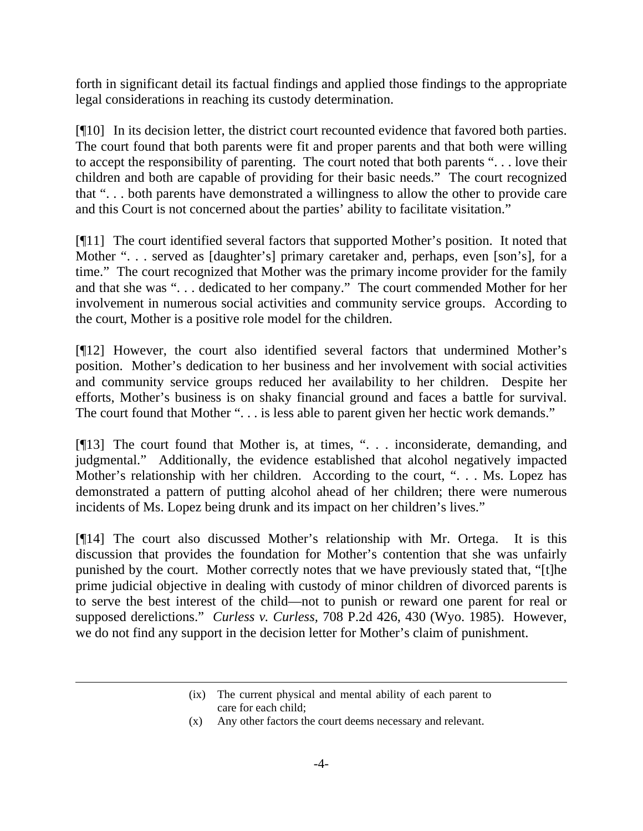forth in significant detail its factual findings and applied those findings to the appropriate legal considerations in reaching its custody determination.

[¶10] In its decision letter, the district court recounted evidence that favored both parties. The court found that both parents were fit and proper parents and that both were willing to accept the responsibility of parenting. The court noted that both parents ". . . love their children and both are capable of providing for their basic needs." The court recognized that ". . . both parents have demonstrated a willingness to allow the other to provide care and this Court is not concerned about the parties' ability to facilitate visitation."

[¶11] The court identified several factors that supported Mother's position. It noted that Mother "... served as [daughter's] primary caretaker and, perhaps, even [son's], for a time." The court recognized that Mother was the primary income provider for the family and that she was ". . . dedicated to her company." The court commended Mother for her involvement in numerous social activities and community service groups. According to the court, Mother is a positive role model for the children.

[¶12] However, the court also identified several factors that undermined Mother's position. Mother's dedication to her business and her involvement with social activities and community service groups reduced her availability to her children. Despite her efforts, Mother's business is on shaky financial ground and faces a battle for survival. The court found that Mother ". . . is less able to parent given her hectic work demands."

[¶13] The court found that Mother is, at times, ". . . inconsiderate, demanding, and judgmental." Additionally, the evidence established that alcohol negatively impacted Mother's relationship with her children. According to the court, ". . . Ms. Lopez has demonstrated a pattern of putting alcohol ahead of her children; there were numerous incidents of Ms. Lopez being drunk and its impact on her children's lives."

[¶14] The court also discussed Mother's relationship with Mr. Ortega. It is this discussion that provides the foundation for Mother's contention that she was unfairly punished by the court. Mother correctly notes that we have previously stated that, "[t]he prime judicial objective in dealing with custody of minor children of divorced parents is to serve the best interest of the child—not to punish or reward one parent for real or supposed derelictions." *Curless v. Curless,* 708 P.2d 426, 430 (Wyo. 1985). However, we do not find any support in the decision letter for Mother's claim of punishment.

(x) Any other factors the court deems necessary and relevant.

 $\overline{a}$ 

<sup>(</sup>ix) The current physical and mental ability of each parent to care for each child;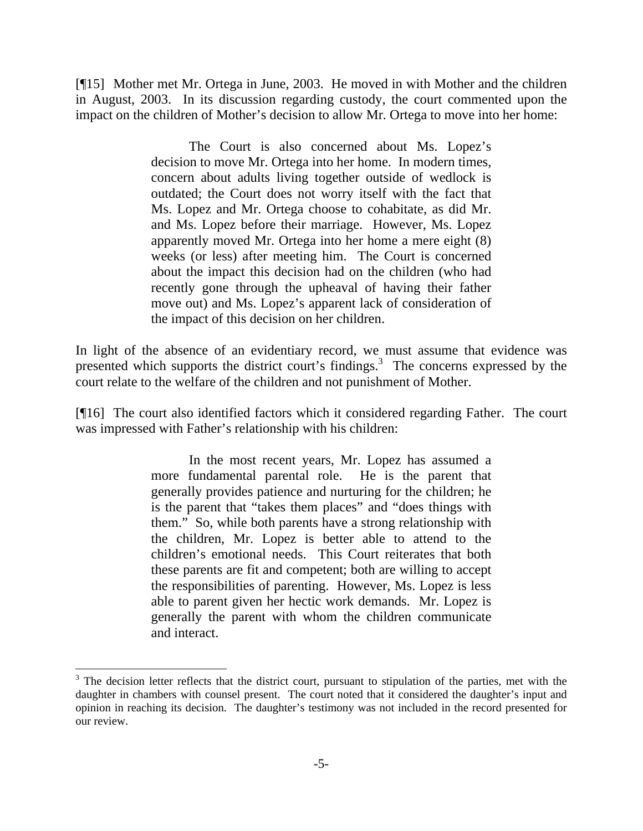[¶15] Mother met Mr. Ortega in June, 2003. He moved in with Mother and the children in August, 2003. In its discussion regarding custody, the court commented upon the impact on the children of Mother's decision to allow Mr. Ortega to move into her home:

> The Court is also concerned about Ms. Lopez's decision to move Mr. Ortega into her home. In modern times, concern about adults living together outside of wedlock is outdated; the Court does not worry itself with the fact that Ms. Lopez and Mr. Ortega choose to cohabitate, as did Mr. and Ms. Lopez before their marriage. However, Ms. Lopez apparently moved Mr. Ortega into her home a mere eight (8) weeks (or less) after meeting him. The Court is concerned about the impact this decision had on the children (who had recently gone through the upheaval of having their father move out) and Ms. Lopez's apparent lack of consideration of the impact of this decision on her children.

In light of the absence of an evidentiary record, we must assume that evidence was presented which supports the district court's findings.<sup>3</sup> The concerns expressed by the court relate to the welfare of the children and not punishment of Mother.

[¶16] The court also identified factors which it considered regarding Father. The court was impressed with Father's relationship with his children:

> In the most recent years, Mr. Lopez has assumed a more fundamental parental role. He is the parent that generally provides patience and nurturing for the children; he is the parent that "takes them places" and "does things with them." So, while both parents have a strong relationship with the children, Mr. Lopez is better able to attend to the children's emotional needs. This Court reiterates that both these parents are fit and competent; both are willing to accept the responsibilities of parenting. However, Ms. Lopez is less able to parent given her hectic work demands. Mr. Lopez is generally the parent with whom the children communicate and interact.

 $\overline{a}$ 

 $3$  The decision letter reflects that the district court, pursuant to stipulation of the parties, met with the daughter in chambers with counsel present. The court noted that it considered the daughter's input and opinion in reaching its decision. The daughter's testimony was not included in the record presented for our review.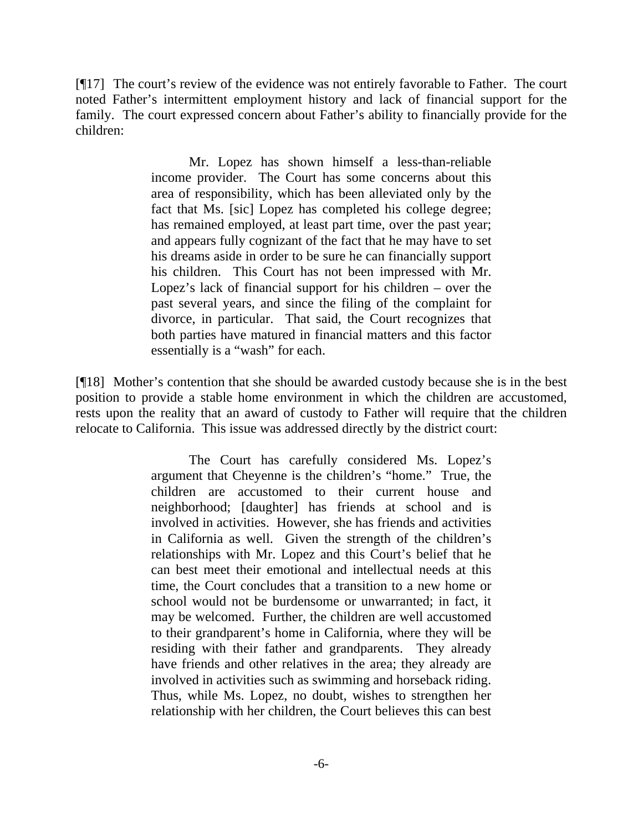[¶17] The court's review of the evidence was not entirely favorable to Father. The court noted Father's intermittent employment history and lack of financial support for the family. The court expressed concern about Father's ability to financially provide for the children:

> Mr. Lopez has shown himself a less-than-reliable income provider. The Court has some concerns about this area of responsibility, which has been alleviated only by the fact that Ms. [sic] Lopez has completed his college degree; has remained employed, at least part time, over the past year; and appears fully cognizant of the fact that he may have to set his dreams aside in order to be sure he can financially support his children. This Court has not been impressed with Mr. Lopez's lack of financial support for his children – over the past several years, and since the filing of the complaint for divorce, in particular. That said, the Court recognizes that both parties have matured in financial matters and this factor essentially is a "wash" for each.

[¶18] Mother's contention that she should be awarded custody because she is in the best position to provide a stable home environment in which the children are accustomed, rests upon the reality that an award of custody to Father will require that the children relocate to California. This issue was addressed directly by the district court:

> The Court has carefully considered Ms. Lopez's argument that Cheyenne is the children's "home." True, the children are accustomed to their current house and neighborhood; [daughter] has friends at school and is involved in activities. However, she has friends and activities in California as well. Given the strength of the children's relationships with Mr. Lopez and this Court's belief that he can best meet their emotional and intellectual needs at this time, the Court concludes that a transition to a new home or school would not be burdensome or unwarranted; in fact, it may be welcomed. Further, the children are well accustomed to their grandparent's home in California, where they will be residing with their father and grandparents. They already have friends and other relatives in the area; they already are involved in activities such as swimming and horseback riding. Thus, while Ms. Lopez, no doubt, wishes to strengthen her relationship with her children, the Court believes this can best